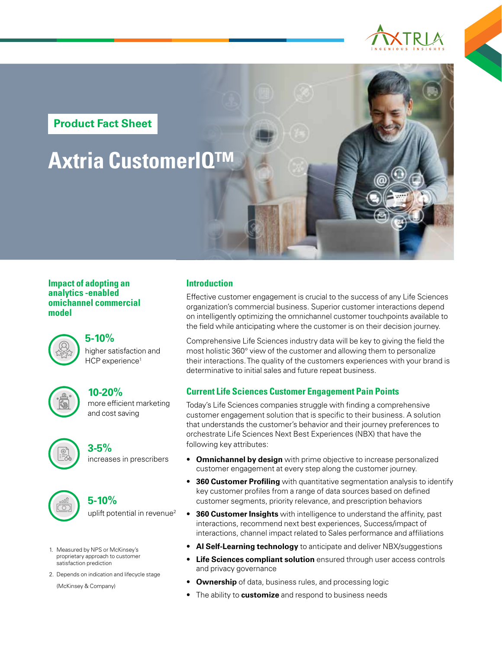

**Product Fact Sheet**

# **Axtria CustomerIQ™**

#### **Impact of adopting an analytics -enabled omichannel commercial model**



## higher satisfaction and HCP experience<sup>1</sup> **5-10%**



#### more efficient marketing and cost saving **10-20%**



## increases in prescribers **3-5%**



## uplift potential in revenue<sup>2</sup> **5-10%**

1. Measured by NPS or McKinsey's proprietary approach to customer satisfaction prediction

2. Depends on indication and lifecycle stage

(McKinsey & Company)

### **Introduction**

Effective customer engagement is crucial to the success of any Life Sciences organization's commercial business. Superior customer interactions depend on intelligently optimizing the omnichannel customer touchpoints available to the field while anticipating where the customer is on their decision journey.

Comprehensive Life Sciences industry data will be key to giving the field the most holistic 360° view of the customer and allowing them to personalize their interactions. The quality of the customers experiences with your brand is determinative to initial sales and future repeat business.

## **Current Life Sciences Customer Engagement Pain Points**

Today's Life Sciences companies struggle with finding a comprehensive customer engagement solution that is specific to their business. A solution that understands the customer's behavior and their journey preferences to orchestrate Life Sciences Next Best Experiences (NBX) that have the following key attributes:

- **Omnichannel by design** with prime objective to increase personalized customer engagement at every step along the customer journey.
- **360 Customer Profiling** with quantitative segmentation analysis to identify key customer profiles from a range of data sources based on defined customer segments, priority relevance, and prescription behaviors
- **360 Customer Insights** with intelligence to understand the affinity, past interactions, recommend next best experiences, Success/impact of interactions, channel impact related to Sales performance and affiliations
- **AI Self-Learning technology** to anticipate and deliver NBX/suggestions
- **Life Sciences compliant solution** ensured through user access controls and privacy governance
- **Ownership** of data, business rules, and processing logic
- The ability to **customize** and respond to business needs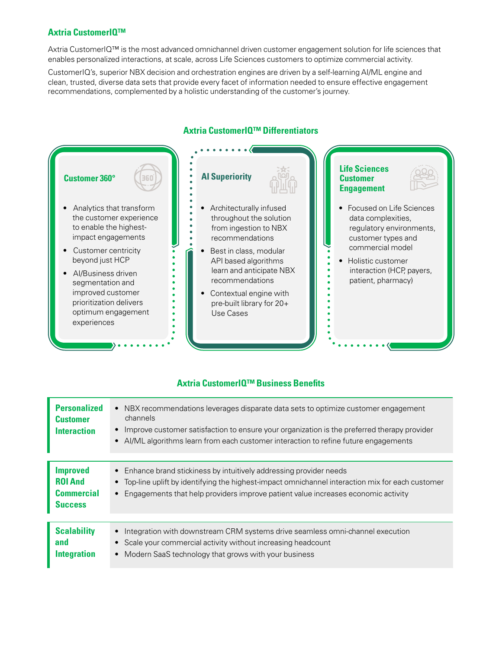### **Axtria CustomerIQ™**

Axtria CustomerIQ™ is the most advanced omnichannel driven customer engagement solution for life sciences that enables personalized interactions, at scale, across Life Sciences customers to optimize commercial activity.

CustomerIQ's, superior NBX decision and orchestration engines are driven by a self-learning AI/ML engine and clean, trusted, diverse data sets that provide every facet of information needed to ensure effective engagement recommendations, complemented by a holistic understanding of the customer's journey.



#### **Axtria CustomerIQ™ Differentiators**

## **Axtria CustomerIQ™ Business Benefits**

| <b>Personalized</b><br><b>Customer</b><br>Interaction                    | NBX recommendations leverages disparate data sets to optimize customer engagement<br>$\bullet$<br>channels<br>• Improve customer satisfaction to ensure your organization is the preferred therapy provider<br>• Al/ML algorithms learn from each customer interaction to refine future engagements |
|--------------------------------------------------------------------------|-----------------------------------------------------------------------------------------------------------------------------------------------------------------------------------------------------------------------------------------------------------------------------------------------------|
| <b>Improved</b><br><b>ROI And</b><br><b>Commercial</b><br><b>Success</b> | • Enhance brand stickiness by intuitively addressing provider needs<br>• Top-line uplift by identifying the highest-impact omnichannel interaction mix for each customer<br>• Engagements that help providers improve patient value increases economic activity                                     |
| <b>Scalability</b><br>and<br><b>Integration</b>                          | Integration with downstream CRM systems drive seamless omni-channel execution<br>$\bullet$<br>Scale your commercial activity without increasing headcount<br>• Modern SaaS technology that grows with your business                                                                                 |